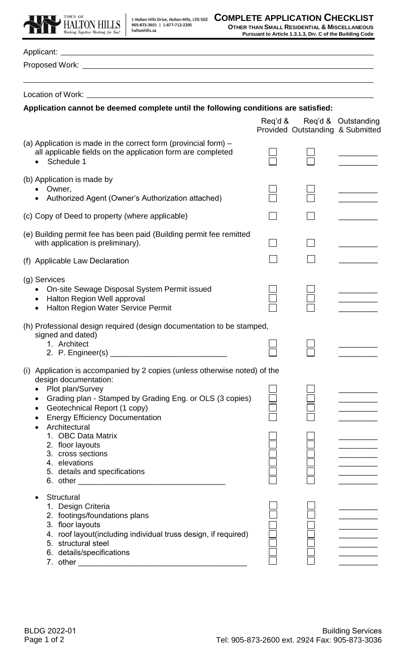



**OTHER THAN SMALL RESIDENTIAL & MISCELLANEOUS Pursuant to Article 1.3.1.3, DIV. C of the Building Code** 

| Location of Work:<br><u> 1980 - John Stein, amerikansk politiker (</u>                                                                                                                                                                                                         |         |  |                                                         |  |
|--------------------------------------------------------------------------------------------------------------------------------------------------------------------------------------------------------------------------------------------------------------------------------|---------|--|---------------------------------------------------------|--|
| Application cannot be deemed complete until the following conditions are satisfied:                                                                                                                                                                                            |         |  |                                                         |  |
|                                                                                                                                                                                                                                                                                | Reg'd & |  | Req'd & Outstanding<br>Provided Outstanding & Submitted |  |
| (a) Application is made in the correct form (provincial form) $-$<br>all applicable fields on the application form are completed<br>Schedule 1                                                                                                                                 |         |  |                                                         |  |
| (b) Application is made by<br>Owner,<br>Authorized Agent (Owner's Authorization attached)                                                                                                                                                                                      |         |  |                                                         |  |
| (c) Copy of Deed to property (where applicable)                                                                                                                                                                                                                                |         |  |                                                         |  |
| (e) Building permit fee has been paid (Building permit fee remitted<br>with application is preliminary).                                                                                                                                                                       |         |  |                                                         |  |
| (f) Applicable Law Declaration                                                                                                                                                                                                                                                 |         |  |                                                         |  |
| (g) Services<br>On-site Sewage Disposal System Permit issued<br>Halton Region Well approval<br>$\bullet$<br>Halton Region Water Service Permit<br>$\bullet$                                                                                                                    |         |  |                                                         |  |
| (h) Professional design required (design documentation to be stamped,<br>signed and dated)<br>1. Architect                                                                                                                                                                     |         |  |                                                         |  |
| (i) Application is accompanied by 2 copies (unless otherwise noted) of the<br>design documentation:<br>Plot plan/Survey<br>Grading plan - Stamped by Grading Eng. or OLS (3 copies)<br>Geotechnical Report (1 copy)<br><b>Energy Efficiency Documentation</b><br>Architectural |         |  |                                                         |  |
| 1. OBC Data Matrix<br>2. floor layouts<br>3. cross sections<br>4. elevations<br>5. details and specifications                                                                                                                                                                  |         |  |                                                         |  |
| <b>Structural</b><br>1. Design Criteria<br>2. footings/foundations plans<br>3. floor layouts<br>4. roof layout(including individual truss design, if required)<br>5. structural steel<br>6. details/specifications<br>7. other                                                 |         |  |                                                         |  |